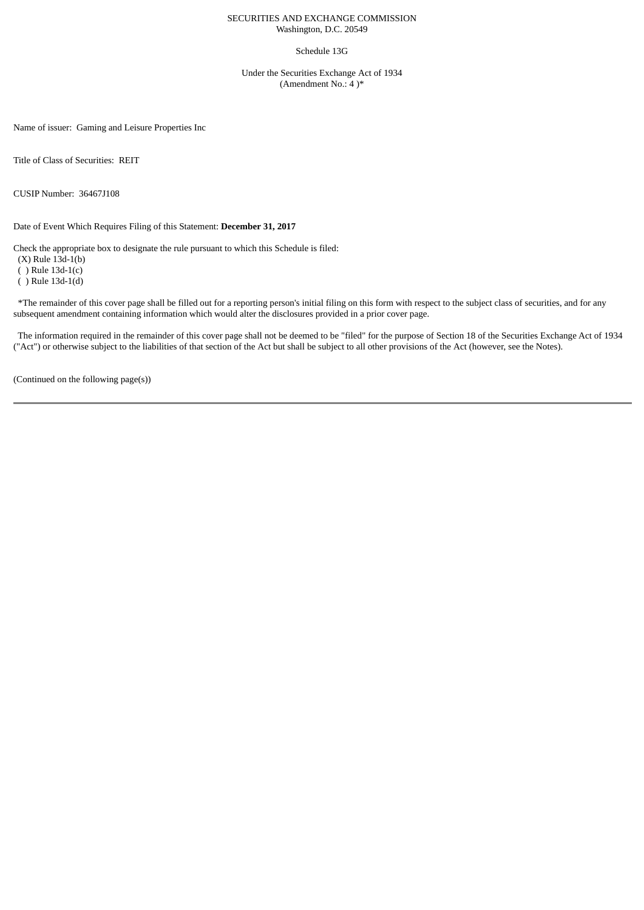## SECURITIES AND EXCHANGE COMMISSION Washington, D.C. 20549

## Schedule 13G

Under the Securities Exchange Act of 1934 (Amendment No.: 4 )\*

Name of issuer: Gaming and Leisure Properties Inc

Title of Class of Securities: REIT

CUSIP Number: 36467J108

Date of Event Which Requires Filing of this Statement: **December 31, 2017**

Check the appropriate box to designate the rule pursuant to which this Schedule is filed:

(X) Rule 13d-1(b)

( ) Rule 13d-1(c)

( ) Rule 13d-1(d)

\*The remainder of this cover page shall be filled out for a reporting person's initial filing on this form with respect to the subject class of securities, and for any subsequent amendment containing information which would alter the disclosures provided in a prior cover page.

The information required in the remainder of this cover page shall not be deemed to be "filed" for the purpose of Section 18 of the Securities Exchange Act of 1934 ("Act") or otherwise subject to the liabilities of that section of the Act but shall be subject to all other provisions of the Act (however, see the Notes).

(Continued on the following page(s))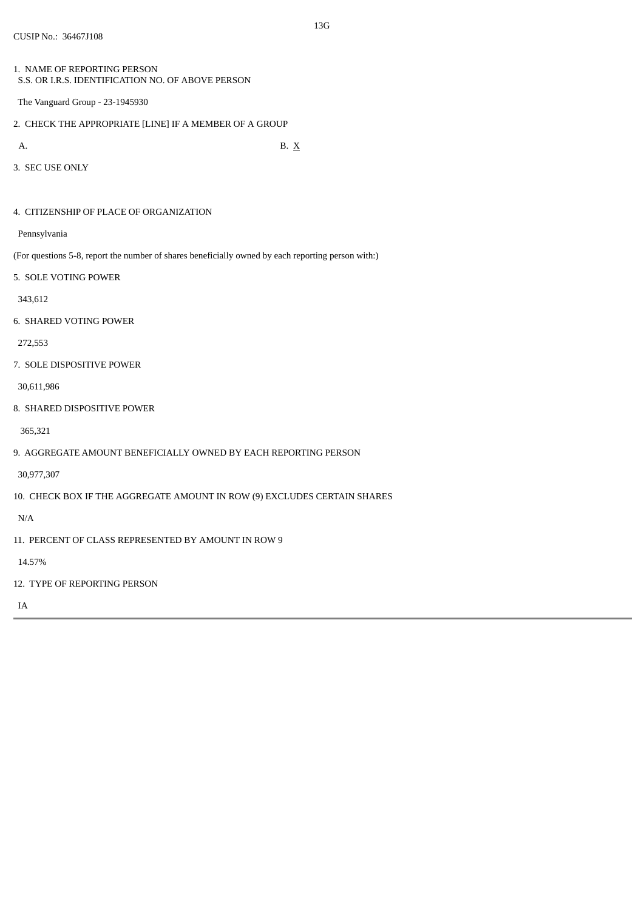- 1. NAME OF REPORTING PERSON S.S. OR I.R.S. IDENTIFICATION NO. OF ABOVE PERSON
- The Vanguard Group 23-1945930
- 2. CHECK THE APPROPRIATE [LINE] IF A MEMBER OF A GROUP
- 

A. B.  $X$ 

3. SEC USE ONLY

4. CITIZENSHIP OF PLACE OF ORGANIZATION

Pennsylvania

(For questions 5-8, report the number of shares beneficially owned by each reporting person with:)

5. SOLE VOTING POWER

343,612

6. SHARED VOTING POWER

272,553

7. SOLE DISPOSITIVE POWER

30,611,986

8. SHARED DISPOSITIVE POWER

365,321

9. AGGREGATE AMOUNT BENEFICIALLY OWNED BY EACH REPORTING PERSON

30,977,307

10. CHECK BOX IF THE AGGREGATE AMOUNT IN ROW (9) EXCLUDES CERTAIN SHARES

N/A

11. PERCENT OF CLASS REPRESENTED BY AMOUNT IN ROW 9

14.57%

12. TYPE OF REPORTING PERSON

IA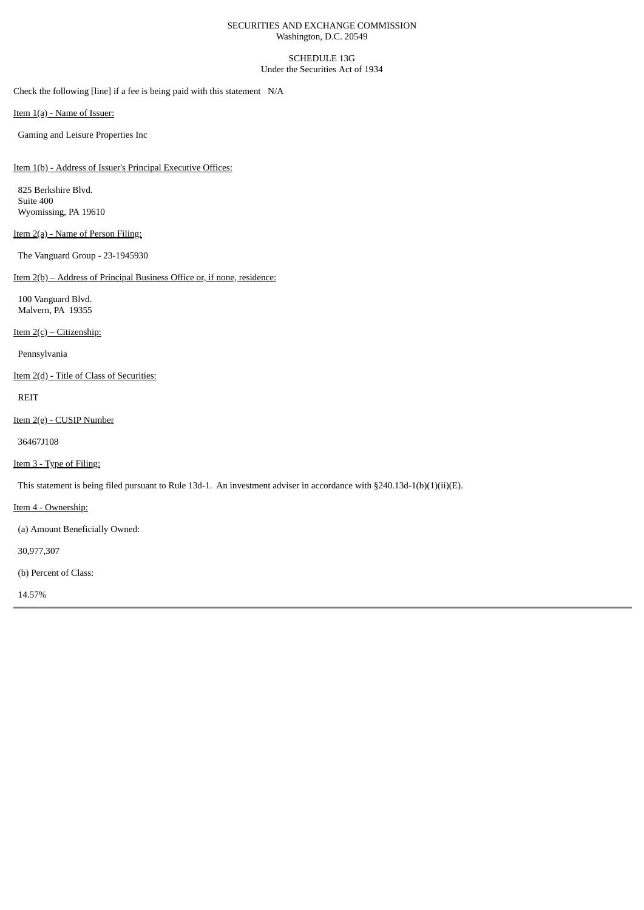## SECURITIES AND EXCHANGE COMMISSION Washington, D.C. 20549

SCHEDULE 13G Under the Securities Act of 1934

Check the following [line] if a fee is being paid with this statement N/A

Item 1(a) - Name of Issuer:

Gaming and Leisure Properties Inc

Item 1(b) - Address of Issuer's Principal Executive Offices:

825 Berkshire Blvd. Suite 400 Wyomissing, PA 19610

# Item 2(a) - Name of Person Filing:

The Vanguard Group - 23-1945930

Item 2(b) – Address of Principal Business Office or, if none, residence:

100 Vanguard Blvd. Malvern, PA 19355

Item 2(c) – Citizenship:

Pennsylvania

Item 2(d) - Title of Class of Securities:

REIT

Item 2(e) - CUSIP Number

36467J108

Item 3 - Type of Filing:

This statement is being filed pursuant to Rule 13d-1. An investment adviser in accordance with §240.13d-1(b)(1)(ii)(E).

Item 4 - Ownership:

(a) Amount Beneficially Owned:

30,977,307

(b) Percent of Class:

14.57%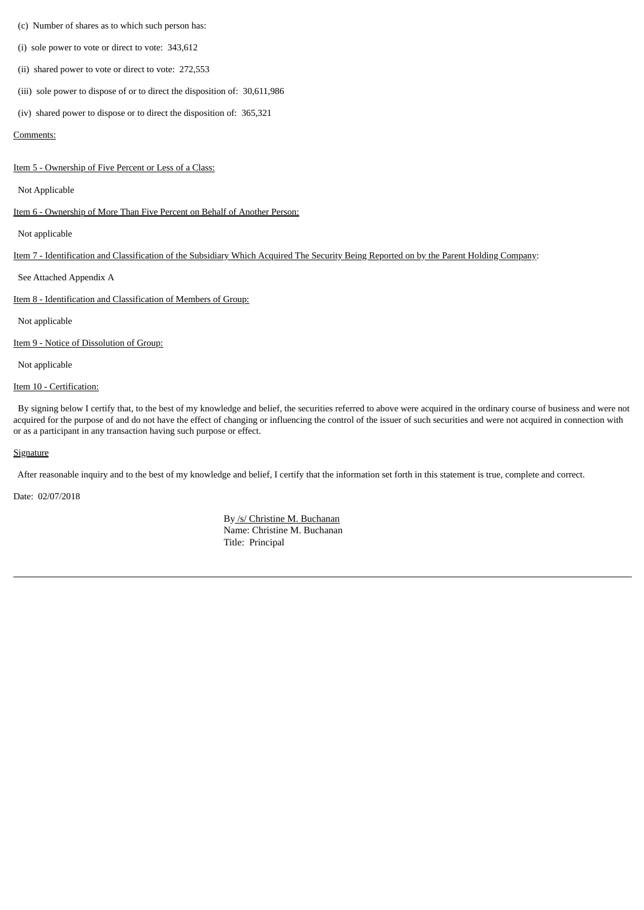### (c) Number of shares as to which such person has:

(i) sole power to vote or direct to vote: 343,612

(ii) shared power to vote or direct to vote: 272,553

(iii) sole power to dispose of or to direct the disposition of: 30,611,986

(iv) shared power to dispose or to direct the disposition of: 365,321

#### Comments:

Item 5 - Ownership of Five Percent or Less of a Class:

#### Not Applicable

Item 6 - Ownership of More Than Five Percent on Behalf of Another Person:

Not applicable

# Item 7 - Identification and Classification of the Subsidiary Which Acquired The Security Being Reported on by the Parent Holding Company:

See Attached Appendix A

Item 8 - Identification and Classification of Members of Group:

Not applicable

Item 9 - Notice of Dissolution of Group:

Not applicable

# Item 10 - Certification:

By signing below I certify that, to the best of my knowledge and belief, the securities referred to above were acquired in the ordinary course of business and were not acquired for the purpose of and do not have the effect of changing or influencing the control of the issuer of such securities and were not acquired in connection with or as a participant in any transaction having such purpose or effect.

#### **Signature**

After reasonable inquiry and to the best of my knowledge and belief, I certify that the information set forth in this statement is true, complete and correct.

Date: 02/07/2018

By /s/ Christine M. Buchanan Name: Christine M. Buchanan Title: Principal